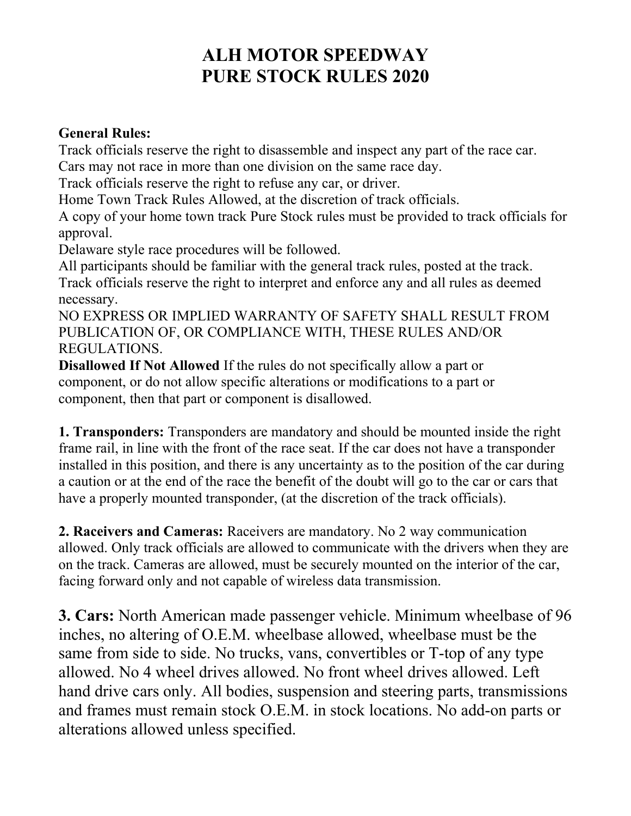# **ALH MOTOR SPEEDWAY PURE STOCK RULES 2020**

#### **General Rules:**

Track officials reserve the right to disassemble and inspect any part of the race car. Cars may not race in more than one division on the same race day.

Track officials reserve the right to refuse any car, or driver.

Home Town Track Rules Allowed, at the discretion of track officials.

A copy of your home town track Pure Stock rules must be provided to track officials for approval.

Delaware style race procedures will be followed.

All participants should be familiar with the general track rules, posted at the track. Track officials reserve the right to interpret and enforce any and all rules as deemed necessary.

NO EXPRESS OR IMPLIED WARRANTY OF SAFETY SHALL RESULT FROM PUBLICATION OF, OR COMPLIANCE WITH, THESE RULES AND/OR REGULATIONS.

**Disallowed If Not Allowed** If the rules do not specifically allow a part or component, or do not allow specific alterations or modifications to a part or component, then that part or component is disallowed.

**1. Transponders:** Transponders are mandatory and should be mounted inside the right frame rail, in line with the front of the race seat. If the car does not have a transponder installed in this position, and there is any uncertainty as to the position of the car during a caution or at the end of the race the benefit of the doubt will go to the car or cars that have a properly mounted transponder, (at the discretion of the track officials).

**2. Raceivers and Cameras:** Raceivers are mandatory. No 2 way communication allowed. Only track officials are allowed to communicate with the drivers when they are on the track. Cameras are allowed, must be securely mounted on the interior of the car, facing forward only and not capable of wireless data transmission.

**3. Cars:** North American made passenger vehicle. Minimum wheelbase of 96 inches, no altering of O.E.M. wheelbase allowed, wheelbase must be the same from side to side. No trucks, vans, convertibles or T-top of any type allowed. No 4 wheel drives allowed. No front wheel drives allowed. Left hand drive cars only. All bodies, suspension and steering parts, transmissions and frames must remain stock O.E.M. in stock locations. No add-on parts or alterations allowed unless specified.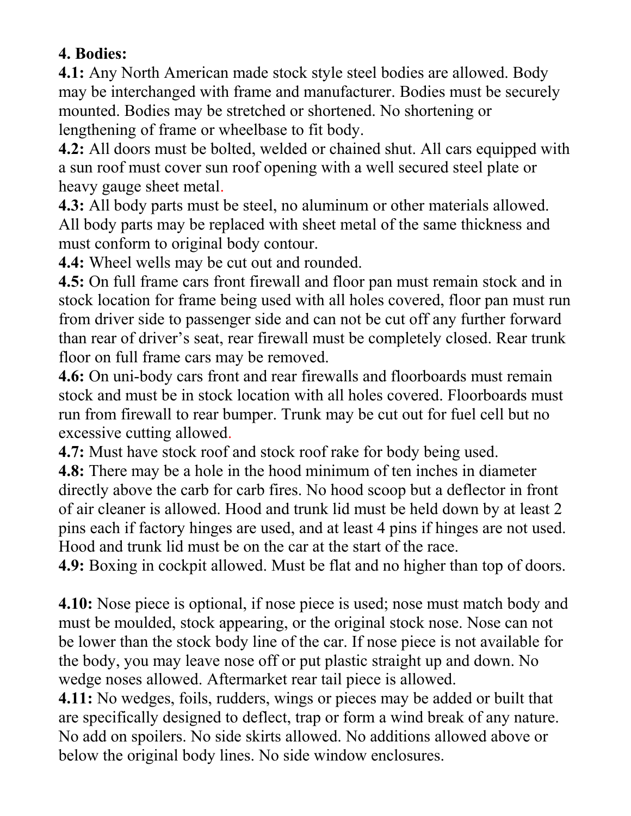# **4. Bodies:**

**4.1:** Any North American made stock style steel bodies are allowed. Body may be interchanged with frame and manufacturer. Bodies must be securely mounted. Bodies may be stretched or shortened. No shortening or lengthening of frame or wheelbase to fit body.

**4.2:** All doors must be bolted, welded or chained shut. All cars equipped with a sun roof must cover sun roof opening with a well secured steel plate or heavy gauge sheet metal.

**4.3:** All body parts must be steel, no aluminum or other materials allowed. All body parts may be replaced with sheet metal of the same thickness and must conform to original body contour.

**4.4:** Wheel wells may be cut out and rounded.

**4.5:** On full frame cars front firewall and floor pan must remain stock and in stock location for frame being used with all holes covered, floor pan must run from driver side to passenger side and can not be cut off any further forward than rear of driver's seat, rear firewall must be completely closed. Rear trunk floor on full frame cars may be removed.

**4.6:** On uni-body cars front and rear firewalls and floorboards must remain stock and must be in stock location with all holes covered. Floorboards must run from firewall to rear bumper. Trunk may be cut out for fuel cell but no excessive cutting allowed.

**4.7:** Must have stock roof and stock roof rake for body being used.

**4.8:** There may be a hole in the hood minimum of ten inches in diameter directly above the carb for carb fires. No hood scoop but a deflector in front of air cleaner is allowed. Hood and trunk lid must be held down by at least 2 pins each if factory hinges are used, and at least 4 pins if hinges are not used. Hood and trunk lid must be on the car at the start of the race.

**4.9:** Boxing in cockpit allowed. Must be flat and no higher than top of doors.

**4.10:** Nose piece is optional, if nose piece is used; nose must match body and must be moulded, stock appearing, or the original stock nose. Nose can not be lower than the stock body line of the car. If nose piece is not available for the body, you may leave nose off or put plastic straight up and down. No wedge noses allowed. Aftermarket rear tail piece is allowed.

**4.11:** No wedges, foils, rudders, wings or pieces may be added or built that are specifically designed to deflect, trap or form a wind break of any nature. No add on spoilers. No side skirts allowed. No additions allowed above or below the original body lines. No side window enclosures.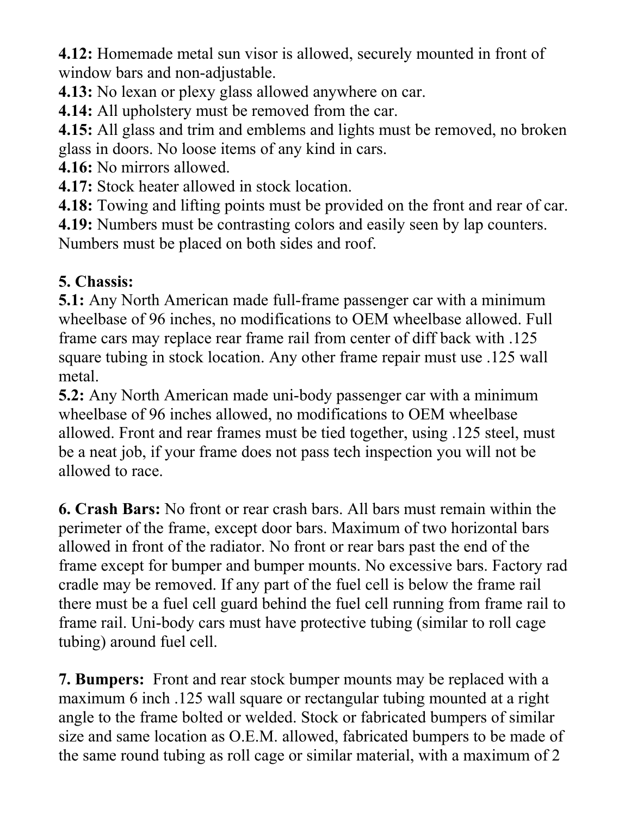**4.12:** Homemade metal sun visor is allowed, securely mounted in front of window bars and non-adjustable.

**4.13:** No lexan or plexy glass allowed anywhere on car.

**4.14:** All upholstery must be removed from the car.

**4.15:** All glass and trim and emblems and lights must be removed, no broken glass in doors. No loose items of any kind in cars.

**4.16:** No mirrors allowed.

**4.17:** Stock heater allowed in stock location.

**4.18:** Towing and lifting points must be provided on the front and rear of car.

**4.19:** Numbers must be contrasting colors and easily seen by lap counters.

Numbers must be placed on both sides and roof.

# **5. Chassis:**

**5.1:** Any North American made full-frame passenger car with a minimum wheelbase of 96 inches, no modifications to OEM wheelbase allowed. Full frame cars may replace rear frame rail from center of diff back with .125 square tubing in stock location. Any other frame repair must use .125 wall metal.

**5.2:** Any North American made uni-body passenger car with a minimum wheelbase of 96 inches allowed, no modifications to OEM wheelbase allowed. Front and rear frames must be tied together, using .125 steel, must be a neat job, if your frame does not pass tech inspection you will not be allowed to race.

**6. Crash Bars:** No front or rear crash bars. All bars must remain within the perimeter of the frame, except door bars. Maximum of two horizontal bars allowed in front of the radiator. No front or rear bars past the end of the frame except for bumper and bumper mounts. No excessive bars. Factory rad cradle may be removed. If any part of the fuel cell is below the frame rail there must be a fuel cell guard behind the fuel cell running from frame rail to frame rail. Uni-body cars must have protective tubing (similar to roll cage tubing) around fuel cell.

**7. Bumpers:** Front and rear stock bumper mounts may be replaced with a maximum 6 inch .125 wall square or rectangular tubing mounted at a right angle to the frame bolted or welded. Stock or fabricated bumpers of similar size and same location as O.E.M. allowed, fabricated bumpers to be made of the same round tubing as roll cage or similar material, with a maximum of 2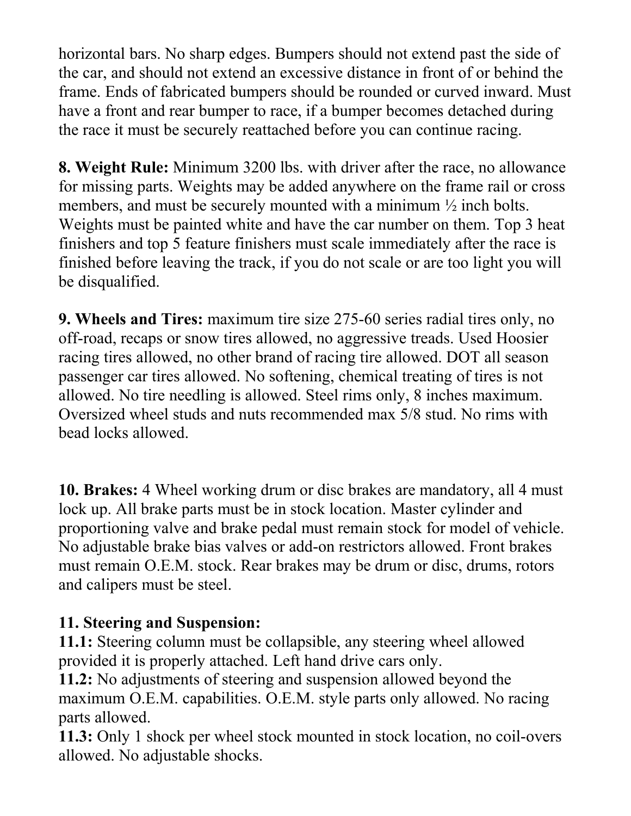horizontal bars. No sharp edges. Bumpers should not extend past the side of the car, and should not extend an excessive distance in front of or behind the frame. Ends of fabricated bumpers should be rounded or curved inward. Must have a front and rear bumper to race, if a bumper becomes detached during the race it must be securely reattached before you can continue racing.

**8. Weight Rule:** Minimum 3200 lbs. with driver after the race, no allowance for missing parts. Weights may be added anywhere on the frame rail or cross members, and must be securely mounted with a minimum ½ inch bolts. Weights must be painted white and have the car number on them. Top 3 heat finishers and top 5 feature finishers must scale immediately after the race is finished before leaving the track, if you do not scale or are too light you will be disqualified.

**9. Wheels and Tires:** maximum tire size 275-60 series radial tires only, no off-road, recaps or snow tires allowed, no aggressive treads. Used Hoosier racing tires allowed, no other brand of racing tire allowed. DOT all season passenger car tires allowed. No softening, chemical treating of tires is not allowed. No tire needling is allowed. Steel rims only, 8 inches maximum. Oversized wheel studs and nuts recommended max 5/8 stud. No rims with bead locks allowed.

**10. Brakes:** 4 Wheel working drum or disc brakes are mandatory, all 4 must lock up. All brake parts must be in stock location. Master cylinder and proportioning valve and brake pedal must remain stock for model of vehicle. No adjustable brake bias valves or add-on restrictors allowed. Front brakes must remain O.E.M. stock. Rear brakes may be drum or disc, drums, rotors and calipers must be steel.

# **11. Steering and Suspension:**

**11.1:** Steering column must be collapsible, any steering wheel allowed provided it is properly attached. Left hand drive cars only.

**11.2:** No adjustments of steering and suspension allowed beyond the maximum O.E.M. capabilities. O.E.M. style parts only allowed. No racing parts allowed.

**11.3:** Only 1 shock per wheel stock mounted in stock location, no coil-overs allowed. No adjustable shocks.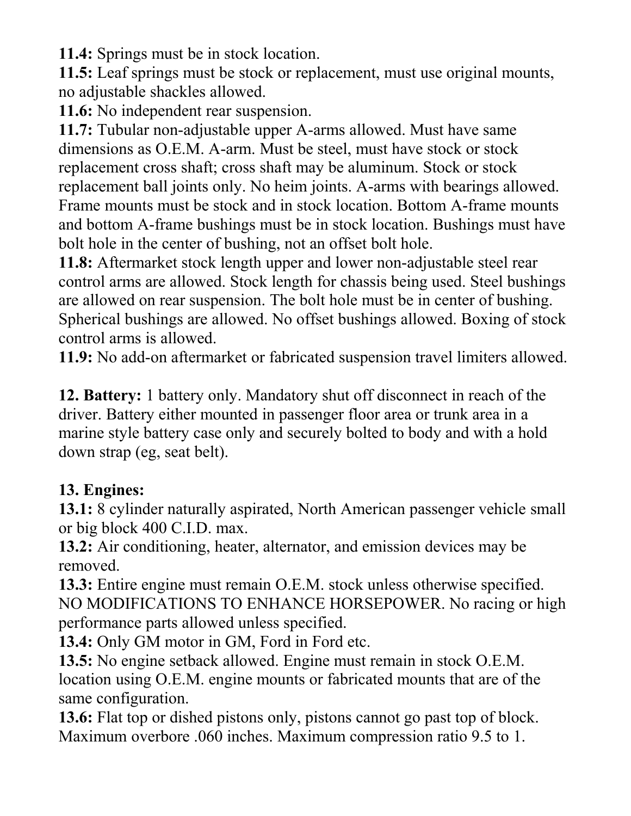**11.4:** Springs must be in stock location.

**11.5:** Leaf springs must be stock or replacement, must use original mounts, no adjustable shackles allowed.

**11.6:** No independent rear suspension.

**11.7:** Tubular non-adjustable upper A-arms allowed. Must have same dimensions as O.E.M. A-arm. Must be steel, must have stock or stock replacement cross shaft; cross shaft may be aluminum. Stock or stock replacement ball joints only. No heim joints. A-arms with bearings allowed. Frame mounts must be stock and in stock location. Bottom A-frame mounts and bottom A-frame bushings must be in stock location. Bushings must have bolt hole in the center of bushing, not an offset bolt hole.

**11.8:** Aftermarket stock length upper and lower non-adjustable steel rear control arms are allowed. Stock length for chassis being used. Steel bushings are allowed on rear suspension. The bolt hole must be in center of bushing. Spherical bushings are allowed. No offset bushings allowed. Boxing of stock control arms is allowed.

**11.9:** No add-on aftermarket or fabricated suspension travel limiters allowed.

**12. Battery:** 1 battery only. Mandatory shut off disconnect in reach of the driver. Battery either mounted in passenger floor area or trunk area in a marine style battery case only and securely bolted to body and with a hold down strap (eg, seat belt).

# **13. Engines:**

**13.1:** 8 cylinder naturally aspirated, North American passenger vehicle small or big block 400 C.I.D. max.

**13.2:** Air conditioning, heater, alternator, and emission devices may be removed.

**13.3:** Entire engine must remain O.E.M. stock unless otherwise specified. NO MODIFICATIONS TO ENHANCE HORSEPOWER. No racing or high performance parts allowed unless specified.

**13.4:** Only GM motor in GM, Ford in Ford etc.

**13.5:** No engine setback allowed. Engine must remain in stock O.E.M. location using O.E.M. engine mounts or fabricated mounts that are of the same configuration.

**13.6:** Flat top or dished pistons only, pistons cannot go past top of block. Maximum overbore .060 inches. Maximum compression ratio 9.5 to 1.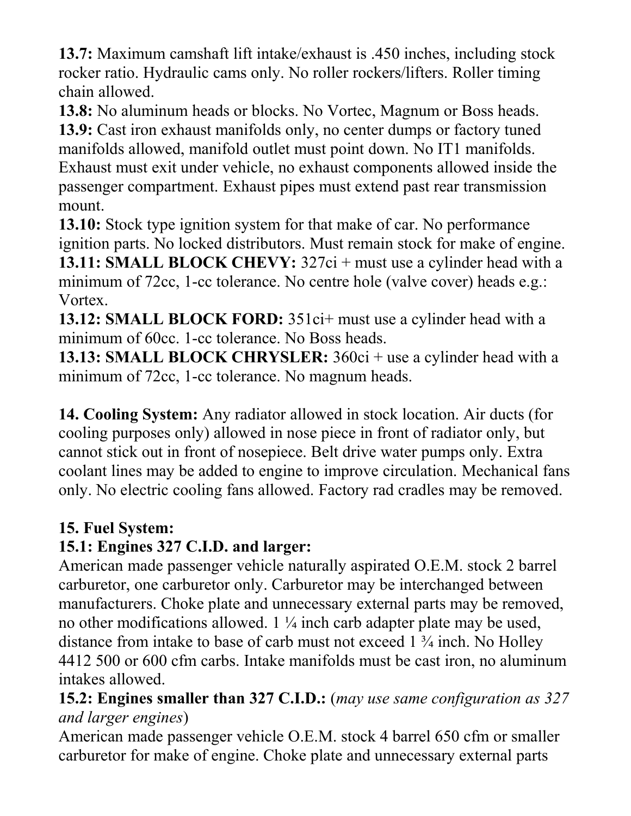**13.7:** Maximum camshaft lift intake/exhaust is .450 inches, including stock rocker ratio. Hydraulic cams only. No roller rockers/lifters. Roller timing chain allowed.

**13.8:** No aluminum heads or blocks. No Vortec, Magnum or Boss heads. **13.9:** Cast iron exhaust manifolds only, no center dumps or factory tuned manifolds allowed, manifold outlet must point down. No IT1 manifolds. Exhaust must exit under vehicle, no exhaust components allowed inside the passenger compartment. Exhaust pipes must extend past rear transmission mount.

**13.10:** Stock type ignition system for that make of car. No performance ignition parts. No locked distributors. Must remain stock for make of engine. **13.11: SMALL BLOCK CHEVY:**  $327ci + must use a cylinder head with a$ minimum of 72cc, 1-cc tolerance. No centre hole (valve cover) heads e.g.: Vortex.

**13.12: SMALL BLOCK FORD:** 351ci+ must use a cylinder head with a minimum of 60cc. 1-cc tolerance. No Boss heads.

**13.13: SMALL BLOCK CHRYSLER:** 360ci + use a cylinder head with a minimum of 72cc, 1-cc tolerance. No magnum heads.

**14. Cooling System:** Any radiator allowed in stock location. Air ducts (for cooling purposes only) allowed in nose piece in front of radiator only, but cannot stick out in front of nosepiece. Belt drive water pumps only. Extra coolant lines may be added to engine to improve circulation. Mechanical fans only. No electric cooling fans allowed. Factory rad cradles may be removed.

# **15. Fuel System:**

# **15.1: Engines 327 C.I.D. and larger:**

American made passenger vehicle naturally aspirated O.E.M. stock 2 barrel carburetor, one carburetor only. Carburetor may be interchanged between manufacturers. Choke plate and unnecessary external parts may be removed, no other modifications allowed. 1 ¼ inch carb adapter plate may be used, distance from intake to base of carb must not exceed 1 ¾ inch. No Holley 4412 500 or 600 cfm carbs. Intake manifolds must be cast iron, no aluminum intakes allowed.

#### **15.2: Engines smaller than 327 C.I.D.:** (*may use same configuration as 327 and larger engines*)

American made passenger vehicle O.E.M. stock 4 barrel 650 cfm or smaller carburetor for make of engine. Choke plate and unnecessary external parts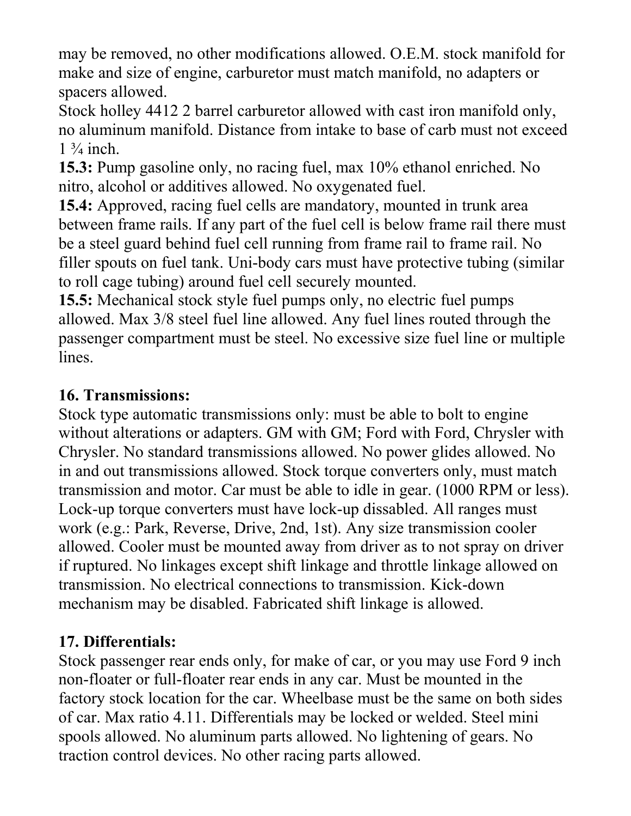may be removed, no other modifications allowed. O.E.M. stock manifold for make and size of engine, carburetor must match manifold, no adapters or spacers allowed.

Stock holley 4412 2 barrel carburetor allowed with cast iron manifold only, no aluminum manifold. Distance from intake to base of carb must not exceed  $1\frac{3}{4}$  inch.

**15.3:** Pump gasoline only, no racing fuel, max 10% ethanol enriched. No nitro, alcohol or additives allowed. No oxygenated fuel.

**15.4:** Approved, racing fuel cells are mandatory, mounted in trunk area between frame rails. If any part of the fuel cell is below frame rail there must be a steel guard behind fuel cell running from frame rail to frame rail. No filler spouts on fuel tank. Uni-body cars must have protective tubing (similar to roll cage tubing) around fuel cell securely mounted.

**15.5:** Mechanical stock style fuel pumps only, no electric fuel pumps allowed. Max 3/8 steel fuel line allowed. Any fuel lines routed through the passenger compartment must be steel. No excessive size fuel line or multiple lines.

# **16. Transmissions:**

Stock type automatic transmissions only: must be able to bolt to engine without alterations or adapters. GM with GM; Ford with Ford, Chrysler with Chrysler. No standard transmissions allowed. No power glides allowed. No in and out transmissions allowed. Stock torque converters only, must match transmission and motor. Car must be able to idle in gear. (1000 RPM or less). Lock-up torque converters must have lock-up dissabled. All ranges must work (e.g.: Park, Reverse, Drive, 2nd, 1st). Any size transmission cooler allowed. Cooler must be mounted away from driver as to not spray on driver if ruptured. No linkages except shift linkage and throttle linkage allowed on transmission. No electrical connections to transmission. Kick-down mechanism may be disabled. Fabricated shift linkage is allowed.

# **17. Differentials:**

Stock passenger rear ends only, for make of car, or you may use Ford 9 inch non-floater or full-floater rear ends in any car. Must be mounted in the factory stock location for the car. Wheelbase must be the same on both sides of car. Max ratio 4.11. Differentials may be locked or welded. Steel mini spools allowed. No aluminum parts allowed. No lightening of gears. No traction control devices. No other racing parts allowed.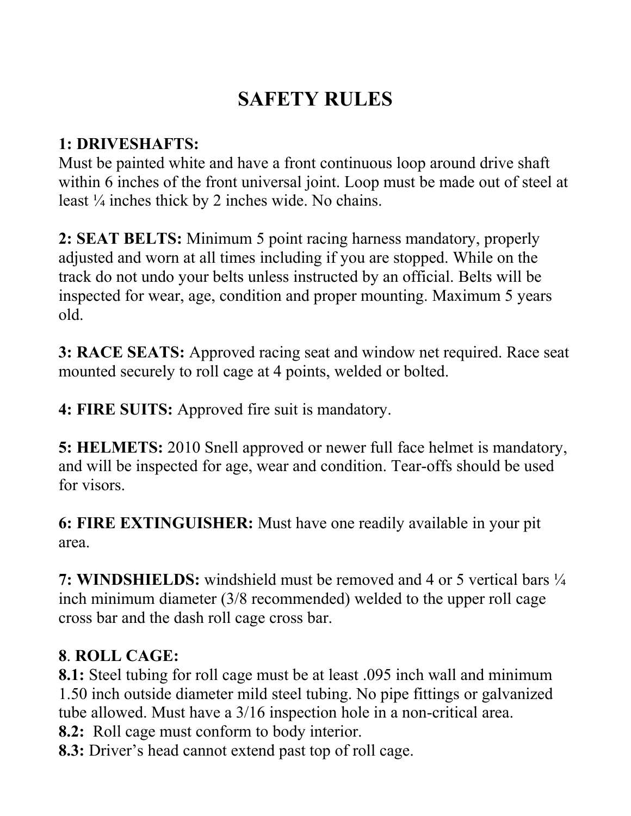# **SAFETY RULES**

# **1: DRIVESHAFTS:**

Must be painted white and have a front continuous loop around drive shaft within 6 inches of the front universal joint. Loop must be made out of steel at least ¼ inches thick by 2 inches wide. No chains.

**2: SEAT BELTS:** Minimum 5 point racing harness mandatory, properly adjusted and worn at all times including if you are stopped. While on the track do not undo your belts unless instructed by an official. Belts will be inspected for wear, age, condition and proper mounting. Maximum 5 years old.

**3: RACE SEATS:** Approved racing seat and window net required. Race seat mounted securely to roll cage at 4 points, welded or bolted.

**4: FIRE SUITS:** Approved fire suit is mandatory.

**5: HELMETS:** 2010 Snell approved or newer full face helmet is mandatory, and will be inspected for age, wear and condition. Tear-offs should be used for visors.

**6: FIRE EXTINGUISHER:** Must have one readily available in your pit area.

**7: WINDSHIELDS:** windshield must be removed and 4 or 5 vertical bars ¼ inch minimum diameter (3/8 recommended) welded to the upper roll cage cross bar and the dash roll cage cross bar.

# **8**. **ROLL CAGE:**

**8.1:** Steel tubing for roll cage must be at least .095 inch wall and minimum 1.50 inch outside diameter mild steel tubing. No pipe fittings or galvanized tube allowed. Must have a 3/16 inspection hole in a non-critical area.

**8.2:** Roll cage must conform to body interior.

**8.3:** Driver's head cannot extend past top of roll cage.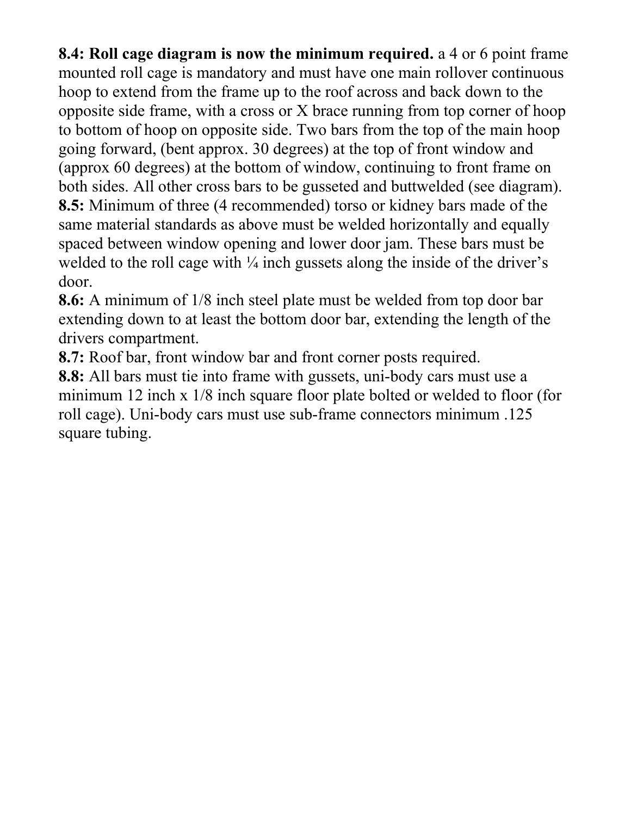**8.4: Roll cage diagram is now the minimum required.** a 4 or 6 point frame mounted roll cage is mandatory and must have one main rollover continuous hoop to extend from the frame up to the roof across and back down to the opposite side frame, with a cross or X brace running from top corner of hoop to bottom of hoop on opposite side. Two bars from the top of the main hoop going forward, (bent approx. 30 degrees) at the top of front window and (approx 60 degrees) at the bottom of window, continuing to front frame on both sides. All other cross bars to be gusseted and buttwelded (see diagram). **8.5:** Minimum of three (4 recommended) torso or kidney bars made of the same material standards as above must be welded horizontally and equally spaced between window opening and lower door jam. These bars must be welded to the roll cage with  $\frac{1}{4}$  inch gussets along the inside of the driver's door.

**8.6:** A minimum of 1/8 inch steel plate must be welded from top door bar extending down to at least the bottom door bar, extending the length of the drivers compartment.

**8.7:** Roof bar, front window bar and front corner posts required.

**8.8:** All bars must tie into frame with gussets, uni-body cars must use a minimum 12 inch x 1/8 inch square floor plate bolted or welded to floor (for roll cage). Uni-body cars must use sub-frame connectors minimum .125 square tubing.